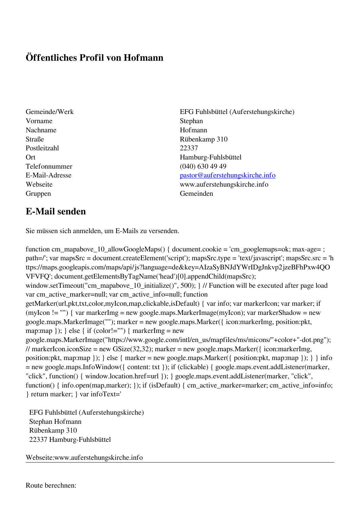## **Öffentliches Profil von Hofmann**

- Vorname Stephan Nachname Hofmann Straße Rübenkamp 310 Postleitzahl 22337 Telefonnummer (040) 630 49 49 Gruppen Gemeinden Gemeinden Gemeinden Gemeinden Gemeinden Gemeinden Gemeinden Gemeinden Gemeinden Gemeinden G
- Gemeinde/Werk EFG Fuhlsbüttel (Auferstehungskirche) Ort Hamburg-Fuhlsbüttel E-Mail-Adresse [pastor@auferstehungskirche.info](mailto:pastor@auferstehungskirche.info) Webseite www.auferstehungskirche.info

## **E-Mail senden**

Sie müssen sich anmelden, um E-Mails zu versenden.

function cm\_mapabove\_10\_allowGoogleMaps() { document.cookie = 'cm\_googlemaps=ok; max-age= ; path=/'; var mapsSrc = document.createElement('script'); mapsSrc.type = 'text/javascript'; mapsSrc.src = 'h ttps://maps.googleapis.com/maps/api/js?language=de&key=AIzaSyBNJdYWrIDgJnkvp2jzeBFhPxw4QO VFVFQ'; document.getElementsByTagName('head')[0].appendChild(mapsSrc); window.setTimeout("cm\_mapabove\_10\_initialize()", 500); } // Function will be executed after page load var cm\_active\_marker=null; var cm\_active\_info=null; function getMarker(url,pkt,txt,color,myIcon,map,clickable,isDefault) { var info; var markerIcon; var marker; if (myIcon != "") { var markerImg = new google.maps.MarkerImage(myIcon); var markerShadow = new google.maps.MarkerImage(""); marker = new google.maps.Marker({ icon:markerImg, position:pkt, map:map  $\}$ ;  $\}$  else  $\{$  if (color!="")  $\{$  markerImg = new google.maps.MarkerImage("https://www.google.com/intl/en\_us/mapfiles/ms/micons/"+color+"-dot.png"); // markerIcon.iconSize = new GSize(32,32); marker = new google.maps.Marker({ $i$ con:markerImg, position:pkt, map:map }); } else { marker = new google.maps.Marker({ position:pkt, map:map }); } } info = new google.maps.InfoWindow({ content: txt }); if (clickable) { google.maps.event.addListener(marker, "click", function() { window.location.href=url }); } google.maps.event.addListener(marker, "click", function() { info.open(map,marker); }); if (isDefault) { cm\_active\_marker=marker; cm\_active\_info=info; } return marker; } var infoText='

 EFG Fuhlsbüttel (Auferstehungskirche) Stephan Hofmann Rübenkamp 310 22337 Hamburg-Fuhlsbüttel

Webseite:www.auferstehungskirche.info